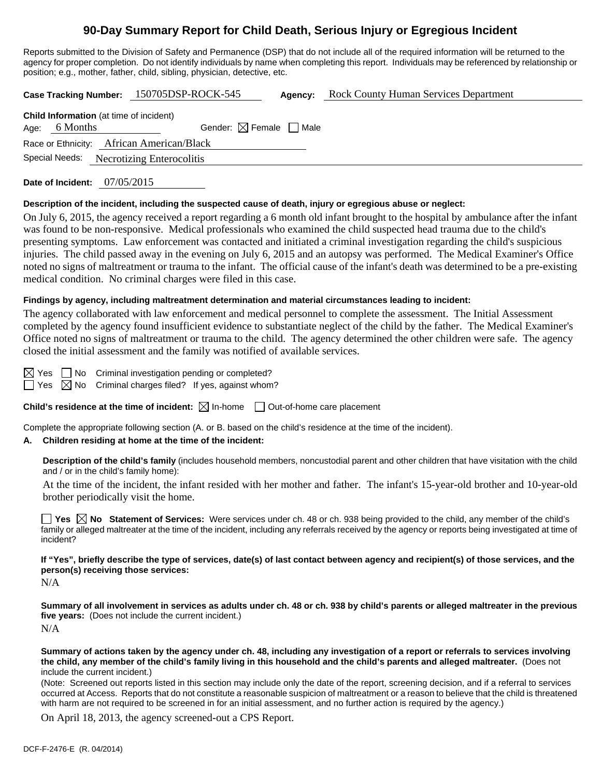# **90-Day Summary Report for Child Death, Serious Injury or Egregious Incident**

Reports submitted to the Division of Safety and Permanence (DSP) that do not include all of the required information will be returned to the agency for proper completion. Do not identify individuals by name when completing this report. Individuals may be referenced by relationship or position; e.g., mother, father, child, sibling, physician, detective, etc.

**Case Tracking Number:** 150705DSP-ROCK-545 **Agency:** Rock County Human Services Department

| <b>Child Information</b> (at time of incident) |                 |                                          |  |  |  |  |  |  |  |  |
|------------------------------------------------|-----------------|------------------------------------------|--|--|--|--|--|--|--|--|
|                                                | Age: $6$ Months | Gender: $\boxtimes$ Female $\Box$ Male   |  |  |  |  |  |  |  |  |
| Race or Ethnicity: African American/Black      |                 |                                          |  |  |  |  |  |  |  |  |
|                                                |                 | Special Needs: Necrotizing Enterocolitis |  |  |  |  |  |  |  |  |
|                                                |                 |                                          |  |  |  |  |  |  |  |  |

**Date of Incident:** 07/05/2015

### **Description of the incident, including the suspected cause of death, injury or egregious abuse or neglect:**

On July 6, 2015, the agency received a report regarding a 6 month old infant brought to the hospital by ambulance after the infant was found to be non-responsive. Medical professionals who examined the child suspected head trauma due to the child's presenting symptoms. Law enforcement was contacted and initiated a criminal investigation regarding the child's suspicious injuries. The child passed away in the evening on July 6, 2015 and an autopsy was performed. The Medical Examiner's Office noted no signs of maltreatment or trauma to the infant. The official cause of the infant's death was determined to be a pre-existing medical condition. No criminal charges were filed in this case.

### **Findings by agency, including maltreatment determination and material circumstances leading to incident:**

The agency collaborated with law enforcement and medical personnel to complete the assessment. The Initial Assessment completed by the agency found insufficient evidence to substantiate neglect of the child by the father. The Medical Examiner's Office noted no signs of maltreatment or trauma to the child. The agency determined the other children were safe. The agency closed the initial assessment and the family was notified of available services.

 $\boxtimes$  Yes  $\Box$  No Criminal investigation pending or completed?

 $\Box$  Yes  $\boxtimes$  No Criminal charges filed? If yes, against whom?

**Child's residence at the time of incident:**  $\boxtimes$  In-home  $\Box$  Out-of-home care placement

Complete the appropriate following section (A. or B. based on the child's residence at the time of the incident).

### **A. Children residing at home at the time of the incident:**

**Description of the child's family** (includes household members, noncustodial parent and other children that have visitation with the child and / or in the child's family home):

 At the time of the incident, the infant resided with her mother and father. The infant's 15-year-old brother and 10-year-old brother periodically visit the home.

**Yes**  $\boxtimes$  **No** Statement of Services: Were services under ch. 48 or ch. 938 being provided to the child, any member of the child's family or alleged maltreater at the time of the incident, including any referrals received by the agency or reports being investigated at time of incident?

**If "Yes", briefly describe the type of services, date(s) of last contact between agency and recipient(s) of those services, and the person(s) receiving those services:** 

N/A

**Summary of all involvement in services as adults under ch. 48 or ch. 938 by child's parents or alleged maltreater in the previous five years:** (Does not include the current incident.) N/A

**Summary of actions taken by the agency under ch. 48, including any investigation of a report or referrals to services involving the child, any member of the child's family living in this household and the child's parents and alleged maltreater.** (Does not include the current incident.)

(Note: Screened out reports listed in this section may include only the date of the report, screening decision, and if a referral to services occurred at Access. Reports that do not constitute a reasonable suspicion of maltreatment or a reason to believe that the child is threatened with harm are not required to be screened in for an initial assessment, and no further action is required by the agency.)

On April 18, 2013, the agency screened-out a CPS Report.